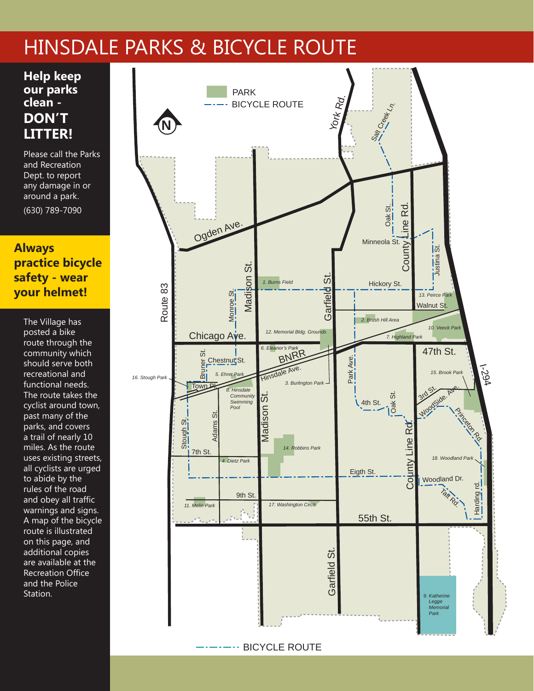## HINSDALE PARKS & BICYCLE ROUTE York Rd. PA

**Help keep our parks clean don't litter!**

Please call the Parks and Recreation Dept. to report any damage in or around a park. (630) 789-7090

## **Always**  *12. Memorial Bldg. Grounds*  **practice bicycle**  *6. Eleanor's Park*  BNRR **safety - wear your helmet!** *6. Eleanor's Park*  BNRR *3. Burlington Park*  Hinsdale Ave. Chicago Ave. Madison St.

Park Ave.

Eigth St.

Eigth St.

Monroe St.

 *Swimming* 

<u>a.</u><br>The Village has posted a bike route through the community which should serve both recreational and functional needs. The route takes the **11. Accordist around town,** past many of the parks, and covers a trail of nearly 10 *11. Melin Park 17. Washington Circle*  miles. As the route uses existing streets, all cyclists are urged to abide by the rules of the road and obey all traffic warnings and signs. A map of the bicycle route is illustrated on this page, and additional copies are available at the Recreation Office and the Police Station. ...<br>oc<br>sh<br>.. Contributed St. Garfield St. Garfield St. Garfield St. Garfield St. Garfield St. Garfield St. Garfield St. Garfield St. Garfield St. Garfield St. Garfield St. Garfield St. Garfield St. Garfield St. Garfield St. Garfield St  $\frac{1}{p}$ ) **youther that interest in the strategy of the strategy of the strategy of the strategy of the strategy of the strategy of the strategy of the strategy of the strategy of the strategy of the strategy of the strategy of th** 



BICYCLE ROUTE а.

. . . . . . .